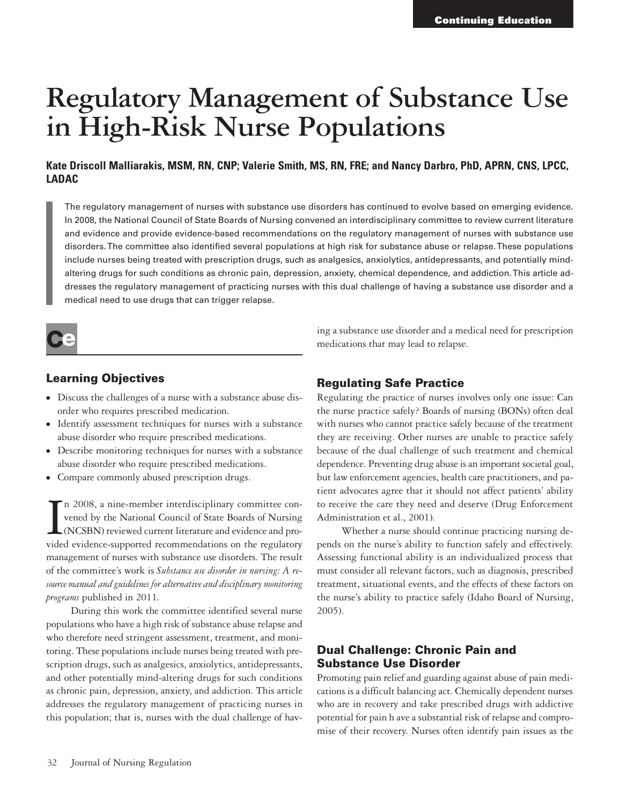# **Regulatory Management of Substance Use in High-Risk Nurse Populations**

# **Kate Driscoll Malliarakis, MSM, RN, CNP; Valerie Smith, MS, RN, FRE; and Nancy Darbro, PhD, APRN, CNS, LPCC, LADAC**

The regulatory management of nurses with substance use disorders has continued to evolve based on emerging evidence. In 2008, the National Council of State Boards of Nursing convened an interdisciplinary committee to review current literature and evidence and provide evidence-based recommendations on the regulatory management of nurses with substance use disorders. The committee also identified several populations at high risk for substance abuse or relapse. These populations include nurses being treated with prescription drugs, such as analgesics, anxiolytics, antidepressants, and potentially mindaltering drugs for such conditions as chronic pain, depression, anxiety, chemical dependence, and addiction. This article addresses the regulatory management of practicing nurses with this dual challenge of having a substance use disorder and a medical need to use drugs that can trigger relapse.



# Learning Objectives

- ⦁⦁ Discuss the challenges of a nurse with a substance abuse disorder who requires prescribed medication.
- ⦁⦁ Identify assessment techniques for nurses with a substance abuse disorder who require prescribed medications.
- ⦁⦁ Describe monitoring techniques for nurses with a substance abuse disorder who require prescribed medications.
- ⦁⦁ Compare commonly abused prescription drugs.

In 2008, a nine-member interdisciplinary committee convened by the National Council of State Boards of Nursing (NCSBN) reviewed current literature and evidence and provided evidence-supported recommendations on the regulat n 2008, a nine-member interdisciplinary committee convened by the National Council of State Boards of Nursing (NCSBN) reviewed current literature and evidence and promanagement of nurses with substance use disorders. The result of the committee's work is *Substance use disorder in nursing: A resource manual and guidelines for alternative and disciplinary monitoring programs* published in 2011*.*

During this work the committee identified several nurse populations who have a high risk of substance abuse relapse and who therefore need stringent assessment, treatment, and monitoring. These populations include nurses being treated with prescription drugs, such as analgesics, anxiolytics, antidepressants, and other potentially mind-altering drugs for such conditions as chronic pain, depression, anxiety, and addiction. This article addresses the regulatory management of practicing nurses in this population; that is, nurses with the dual challenge of having a substance use disorder and a medical need for prescription medications that may lead to relapse.

# Regulating Safe Practice

Regulating the practice of nurses involves only one issue: Can the nurse practice safely? Boards of nursing (BONs) often deal with nurses who cannot practice safely because of the treatment they are receiving. Other nurses are unable to practice safely because of the dual challenge of such treatment and chemical dependence. Preventing drug abuse is an important societal goal, but law enforcement agencies, health care practitioners, and patient advocates agree that it should not affect patients' ability to receive the care they need and deserve (Drug Enforcement Administration et al., 2001).

Whether a nurse should continue practicing nursing depends on the nurse's ability to function safely and effectively. Assessing functional ability is an individualized process that must consider all relevant factors, such as diagnosis, prescribed treatment, situational events, and the effects of these factors on the nurse's ability to practice safely (Idaho Board of Nursing, 2005).

# Dual Challenge: Chronic Pain and Substance Use Disorder

Promoting pain relief and guarding against abuse of pain medications is a difficult balancing act. Chemically dependent nurses who are in recovery and take prescribed drugs with addictive potential for pain h ave a substantial risk of relapse and compromise of their recovery. Nurses often identify pain issues as the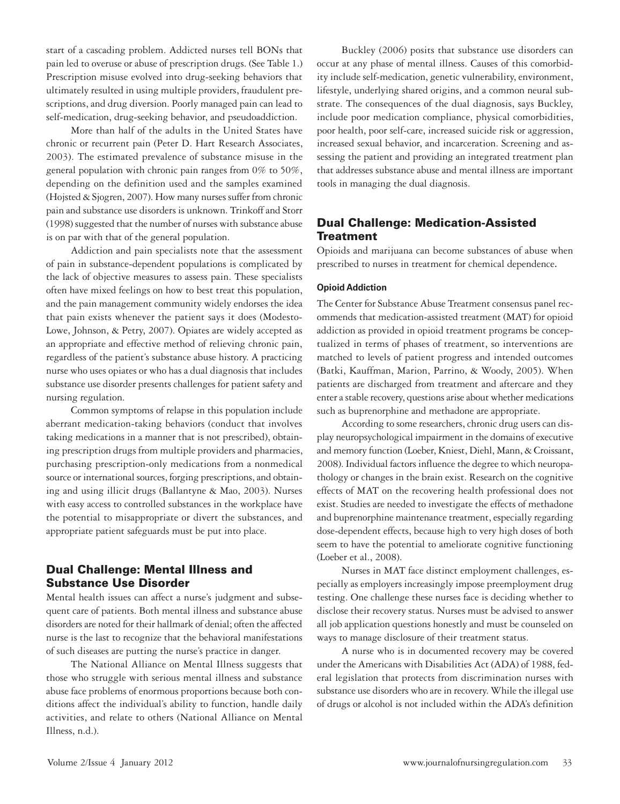start of a cascading problem. Addicted nurses tell BONs that pain led to overuse or abuse of prescription drugs. (See Table 1.) Prescription misuse evolved into drug-seeking behaviors that ultimately resulted in using multiple providers, fraudulent prescriptions, and drug diversion. Poorly managed pain can lead to self-medication, drug-seeking behavior, and pseudoaddiction.

More than half of the adults in the United States have chronic or recurrent pain (Peter D. Hart Research Associates, 2003). The estimated prevalence of substance misuse in the general population with chronic pain ranges from 0% to 50%, depending on the definition used and the samples examined (Hojsted & Sjogren, 2007). How many nurses suffer from chronic pain and substance use disorders is unknown. Trinkoff and Storr (1998) suggested that the number of nurses with substance abuse is on par with that of the general population.

Addiction and pain specialists note that the assessment of pain in substance-dependent populations is complicated by the lack of objective measures to assess pain. These specialists often have mixed feelings on how to best treat this population, and the pain management community widely endorses the idea that pain exists whenever the patient says it does (Modesto-Lowe, Johnson, & Petry, 2007). Opiates are widely accepted as an appropriate and effective method of relieving chronic pain, regardless of the patient's substance abuse history. A practicing nurse who uses opiates or who has a dual diagnosis that includes substance use disorder presents challenges for patient safety and nursing regulation.

Common symptoms of relapse in this population include aberrant medication-taking behaviors (conduct that involves taking medications in a manner that is not prescribed), obtaining prescription drugs from multiple providers and pharmacies, purchasing prescription-only medications from a nonmedical source or international sources, forging prescriptions, and obtaining and using illicit drugs (Ballantyne & Mao, 2003). Nurses with easy access to controlled substances in the workplace have the potential to misappropriate or divert the substances, and appropriate patient safeguards must be put into place.

# Dual Challenge: Mental Illness and Substance Use Disorder

Mental health issues can affect a nurse's judgment and subsequent care of patients. Both mental illness and substance abuse disorders are noted for their hallmark of denial; often the affected nurse is the last to recognize that the behavioral manifestations of such diseases are putting the nurse's practice in danger.

The National Alliance on Mental Illness suggests that those who struggle with serious mental illness and substance abuse face problems of enormous proportions because both conditions affect the individual's ability to function, handle daily activities, and relate to others (National Alliance on Mental Illness, n.d.).

Buckley (2006) posits that substance use disorders can occur at any phase of mental illness. Causes of this comorbidity include self-medication, genetic vulnerability, environment, lifestyle, underlying shared origins, and a common neural substrate. The consequences of the dual diagnosis, says Buckley, include poor medication compliance, physical comorbidities, poor health, poor self-care, increased suicide risk or aggression, increased sexual behavior, and incarceration. Screening and assessing the patient and providing an integrated treatment plan that addresses substance abuse and mental illness are important tools in managing the dual diagnosis.

# Dual Challenge: Medication-Assisted **Treatment**

Opioids and marijuana can become substances of abuse when prescribed to nurses in treatment for chemical dependence**.** 

## **Opioid Addiction**

The Center for Substance Abuse Treatment consensus panel recommends that medication-assisted treatment (MAT) for opioid addiction as provided in opioid treatment programs be conceptualized in terms of phases of treatment, so interventions are matched to levels of patient progress and intended outcomes (Batki, Kauffman, Marion, Parrino, & Woody, 2005). When patients are discharged from treatment and aftercare and they enter a stable recovery, questions arise about whether medications such as buprenorphine and methadone are appropriate.

According to some researchers, chronic drug users can display neuropsychological impairment in the domains of executive and memory function (Loeber, Kniest, Diehl, Mann, & Croissant, 2008). Individual factors influence the degree to which neuropathology or changes in the brain exist. Research on the cognitive effects of MAT on the recovering health professional does not exist. Studies are needed to investigate the effects of methadone and buprenorphine maintenance treatment, especially regarding dose-dependent effects, because high to very high doses of both seem to have the potential to ameliorate cognitive functioning (Loeber et al., 2008).

Nurses in MAT face distinct employment challenges, especially as employers increasingly impose preemployment drug testing. One challenge these nurses face is deciding whether to disclose their recovery status. Nurses must be advised to answer all job application questions honestly and must be counseled on ways to manage disclosure of their treatment status.

A nurse who is in documented recovery may be covered under the Americans with Disabilities Act (ADA) of 1988, federal legislation that protects from discrimination nurses with substance use disorders who are in recovery. While the illegal use of drugs or alcohol is not included within the ADA's definition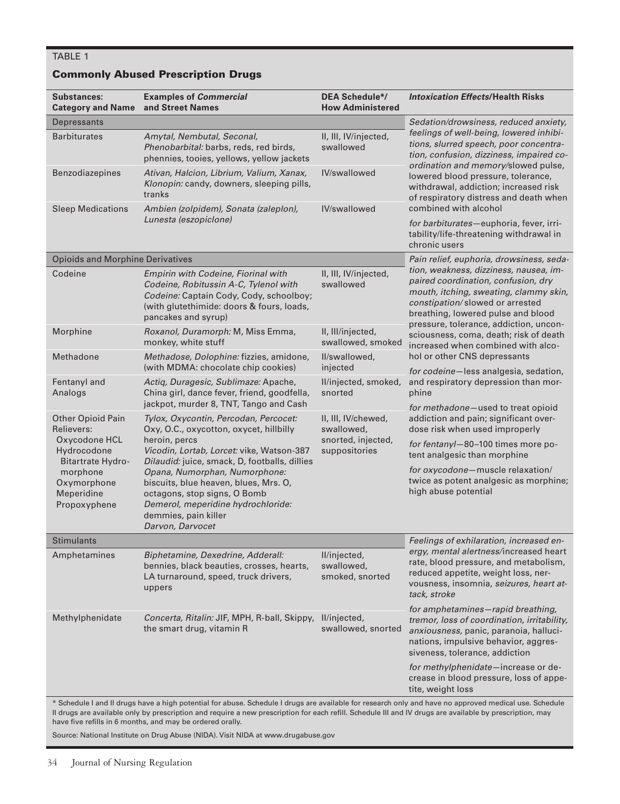## TABLE 1

# Commonly Abused Prescription Drugs

| <b>Substances:</b><br><b>Category and Name</b>                                                                                                         | <b>Examples of Commercial</b><br>and Street Names                                                                                                                                               | <b>DEA Schedule*/</b><br><b>How Administered</b>                         | <b>Intoxication Effects/Health Risks</b>                                                                                                                                                                                                                                                                                   |  |  |
|--------------------------------------------------------------------------------------------------------------------------------------------------------|-------------------------------------------------------------------------------------------------------------------------------------------------------------------------------------------------|--------------------------------------------------------------------------|----------------------------------------------------------------------------------------------------------------------------------------------------------------------------------------------------------------------------------------------------------------------------------------------------------------------------|--|--|
| Depressants                                                                                                                                            |                                                                                                                                                                                                 |                                                                          | Sedation/drowsiness, reduced anxiety,                                                                                                                                                                                                                                                                                      |  |  |
| <b>Barbiturates</b>                                                                                                                                    | Amytal, Nembutal, Seconal,<br>Phenobarbital: barbs, reds, red birds,<br>phennies, tooies, yellows, yellow jackets                                                                               | II, III, IV/injected,<br>swallowed                                       | feelings of well-being, lowered inhibi-<br>tions, slurred speech, poor concentra-<br>tion, confusion, dizziness, impaired co-                                                                                                                                                                                              |  |  |
| Benzodiazepines                                                                                                                                        | Ativan, Halcion, Librium, Valium, Xanax,<br>Klonopin: candy, downers, sleeping pills,<br>tranks                                                                                                 | IV/swallowed                                                             | ordination and memory/slowed pulse,<br>lowered blood pressure, tolerance,<br>withdrawal, addiction; increased risk<br>of respiratory distress and death when                                                                                                                                                               |  |  |
| <b>Sleep Medications</b>                                                                                                                               | Ambien (zolpidem), Sonata (zaleplon),                                                                                                                                                           | IV/swallowed                                                             | combined with alcohol<br>for barbiturates-euphoria, fever, irri-<br>tability/life-threatening withdrawal in<br>chronic users                                                                                                                                                                                               |  |  |
|                                                                                                                                                        | Lunesta (eszopiclone)                                                                                                                                                                           |                                                                          |                                                                                                                                                                                                                                                                                                                            |  |  |
| <b>Opioids and Morphine Derivatives</b>                                                                                                                |                                                                                                                                                                                                 | Pain relief, euphoria, drowsiness, seda-                                 |                                                                                                                                                                                                                                                                                                                            |  |  |
| Codeine                                                                                                                                                | Empirin with Codeine, Fiorinal with<br>Codeine, Robitussin A-C, Tylenol with<br>Codeine: Captain Cody, Cody, schoolboy;<br>(with glutethimide: doors & fours, loads,<br>pancakes and syrup)     | II, III, IV/injected,<br>swallowed                                       | tion, weakness, dizziness, nausea, im-<br>paired coordination, confusion, dry<br>mouth, itching, sweating, clammy skin,<br>constipation/slowed or arrested<br>breathing, lowered pulse and blood<br>pressure, tolerance, addiction, uncon-<br>sciousness, coma, death; risk of death<br>increased when combined with alco- |  |  |
| Morphine                                                                                                                                               | Roxanol, Duramorph: M, Miss Emma,<br>monkey, white stuff                                                                                                                                        | II, III/injected,<br>swallowed, smoked                                   |                                                                                                                                                                                                                                                                                                                            |  |  |
| Methadone                                                                                                                                              | Methadose, Dolophine: fizzies, amidone,<br>(with MDMA: chocolate chip cookies)                                                                                                                  | Il/swallowed,<br>injected                                                | hol or other CNS depressants<br>for codeine-less analgesia, sedation,<br>and respiratory depression than mor-<br>phine<br>for methadone-used to treat opioid<br>addiction and pain; significant over-<br>dose risk when used improperly<br>for fentanyl-80-100 times more po-<br>tent analgesic than morphine              |  |  |
| Fentanyl and<br>Analogs                                                                                                                                | Actiq, Duragesic, Sublimaze: Apache,<br>China girl, dance fever, friend, goodfella,<br>jackpot, murder 8, TNT, Tango and Cash                                                                   | Il/injected, smoked,<br>snorted                                          |                                                                                                                                                                                                                                                                                                                            |  |  |
| <b>Other Opioid Pain</b><br>Relievers:<br>Oxycodone HCL<br>Hydrocodone<br><b>Bitartrate Hydro-</b>                                                     | Tylox, Oxycontin, Percodan, Percocet:<br>Oxy, O.C., oxycotton, oxycet, hillbilly<br>heroin, percs<br>Vicodin, Lortab, Lorcet: vike, Watson-387<br>Dilaudid: juice, smack, D, footballs, dillies | II, III, IV/chewed,<br>swallowed,<br>snorted, injected,<br>suppositories |                                                                                                                                                                                                                                                                                                                            |  |  |
| morphone<br>Oxymorphone<br>Meperidine<br>Propoxyphene                                                                                                  | Opana, Numorphan, Numorphone:<br>biscuits, blue heaven, blues, Mrs. O,<br>octagons, stop signs, O Bomb<br>Demerol, meperidine hydrochloride:<br>demmies, pain killer<br>Darvon, Darvocet        |                                                                          | for oxycodone-muscle relaxation/<br>twice as potent analgesic as morphine;<br>high abuse potential                                                                                                                                                                                                                         |  |  |
| <b>Stimulants</b>                                                                                                                                      |                                                                                                                                                                                                 |                                                                          | Feelings of exhilaration, increased en-<br>ergy, mental alertness/increased heart<br>rate, blood pressure, and metabolism,<br>reduced appetite, weight loss, ner-<br>vousness, insomnia, seizures, heart at-<br>tack, stroke                                                                                               |  |  |
| Amphetamines                                                                                                                                           | Biphetamine, Dexedrine, Adderall:<br>bennies, black beauties, crosses, hearts,<br>LA turnaround, speed, truck drivers,<br>uppers                                                                | Il/injected,<br>swallowed,<br>smoked, snorted                            |                                                                                                                                                                                                                                                                                                                            |  |  |
| Methylphenidate                                                                                                                                        | Concerta, Ritalin: JIF, MPH, R-ball, Skippy,<br>the smart drug, vitamin R                                                                                                                       | Il/injected,<br>swallowed, snorted                                       | for amphetamines-rapid breathing,<br>tremor, loss of coordination, irritability,<br>anxiousness, panic, paranoia, halluci-<br>nations, impulsive behavior, aggres-<br>siveness, tolerance, addiction                                                                                                                       |  |  |
|                                                                                                                                                        |                                                                                                                                                                                                 |                                                                          | for methylphenidate-increase or de-<br>crease in blood pressure, loss of appe-<br>tite, weight loss                                                                                                                                                                                                                        |  |  |
| * Schedule I and II drugs have a high potential for abuse. Schedule I drugs are available for research only and have no approved medical use. Schedule |                                                                                                                                                                                                 |                                                                          |                                                                                                                                                                                                                                                                                                                            |  |  |

II drugs are available only by prescription and require a new prescription for each refill. Schedule III and IV drugs are available by prescription, may have five refills in 6 months, and may be ordered orally.

Source: National Institute on Drug Abuse (NIDA). Visit NIDA at www.drugabuse.gov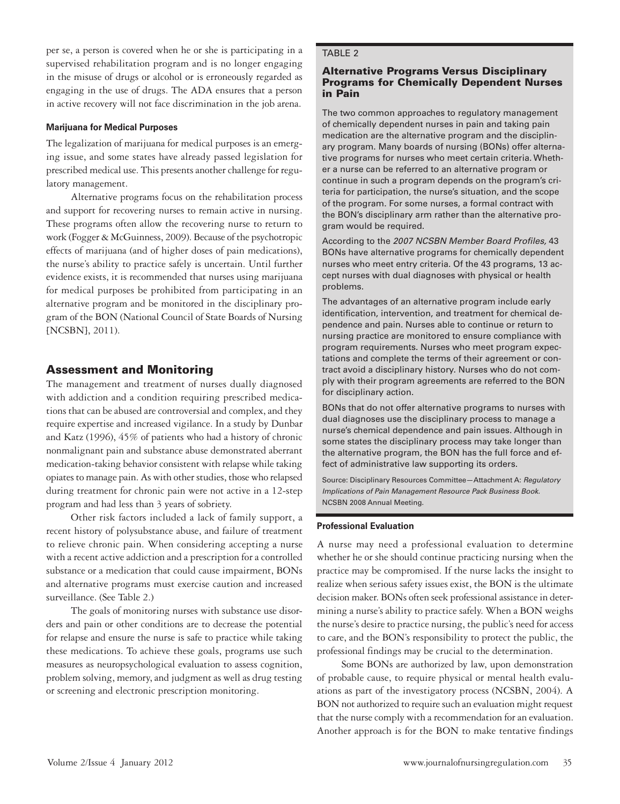per se, a person is covered when he or she is participating in a supervised rehabilitation program and is no longer engaging in the misuse of drugs or alcohol or is erroneously regarded as engaging in the use of drugs. The ADA ensures that a person in active recovery will not face discrimination in the job arena.

#### **Marijuana for Medical Purposes**

The legalization of marijuana for medical purposes is an emerging issue, and some states have already passed legislation for prescribed medical use. This presents another challenge for regulatory management.

Alternative programs focus on the rehabilitation process and support for recovering nurses to remain active in nursing. These programs often allow the recovering nurse to return to work (Fogger & McGuinness, 2009). Because of the psychotropic effects of marijuana (and of higher doses of pain medications), the nurse's ability to practice safely is uncertain. Until further evidence exists, it is recommended that nurses using marijuana for medical purposes be prohibited from participating in an alternative program and be monitored in the disciplinary program of the BON (National Council of State Boards of Nursing [NCSBN], 2011).

## Assessment and Monitoring

The management and treatment of nurses dually diagnosed with addiction and a condition requiring prescribed medications that can be abused are controversial and complex, and they require expertise and increased vigilance. In a study by Dunbar and Katz (1996), 45% of patients who had a history of chronic nonmalignant pain and substance abuse demonstrated aberrant medication-taking behavior consistent with relapse while taking opiates to manage pain. As with other studies, those who relapsed during treatment for chronic pain were not active in a 12-step program and had less than 3 years of sobriety.

Other risk factors included a lack of family support, a recent history of polysubstance abuse, and failure of treatment to relieve chronic pain. When considering accepting a nurse with a recent active addiction and a prescription for a controlled substance or a medication that could cause impairment, BONs and alternative programs must exercise caution and increased surveillance. (See Table 2.)

The goals of monitoring nurses with substance use disorders and pain or other conditions are to decrease the potential for relapse and ensure the nurse is safe to practice while taking these medications. To achieve these goals, programs use such measures as neuropsychological evaluation to assess cognition, problem solving, memory, and judgment as well as drug testing or screening and electronic prescription monitoring.

#### TABLE<sub>2</sub>

#### Alternative Programs Versus Disciplinary Programs for Chemically Dependent Nurses in Pain

The two common approaches to regulatory management of chemically dependent nurses in pain and taking pain medication are the alternative program and the disciplinary program. Many boards of nursing (BONs) offer alternative programs for nurses who meet certain criteria. Whether a nurse can be referred to an alternative program or continue in such a program depends on the program's criteria for participation, the nurse's situation, and the scope of the program. For some nurses, a formal contract with the BON's disciplinary arm rather than the alternative program would be required.

According to the *2007 NCSBN Member Board Profiles,* 43 BONs have alternative programs for chemically dependent nurses who meet entry criteria. Of the 43 programs, 13 accept nurses with dual diagnoses with physical or health problems.

The advantages of an alternative program include early identification, intervention, and treatment for chemical dependence and pain. Nurses able to continue or return to nursing practice are monitored to ensure compliance with program requirements. Nurses who meet program expectations and complete the terms of their agreement or contract avoid a disciplinary history. Nurses who do not comply with their program agreements are referred to the BON for disciplinary action.

BONs that do not offer alternative programs to nurses with dual diagnoses use the disciplinary process to manage a nurse's chemical dependence and pain issues. Although in some states the disciplinary process may take longer than the alternative program, the BON has the full force and effect of administrative law supporting its orders.

Source: Disciplinary Resources Committee—Attachment A: *Regulatory Implications of Pain Management Resource Pack Business Book.* NCSBN 2008 Annual Meeting.

#### **Professional Evaluation**

A nurse may need a professional evaluation to determine whether he or she should continue practicing nursing when the practice may be compromised. If the nurse lacks the insight to realize when serious safety issues exist, the BON is the ultimate decision maker. BONs often seek professional assistance in determining a nurse's ability to practice safely. When a BON weighs the nurse's desire to practice nursing, the public's need for access to care, and the BON's responsibility to protect the public, the professional findings may be crucial to the determination.

Some BONs are authorized by law, upon demonstration of probable cause, to require physical or mental health evaluations as part of the investigatory process (NCSBN, 2004). A BON not authorized to require such an evaluation might request that the nurse comply with a recommendation for an evaluation. Another approach is for the BON to make tentative findings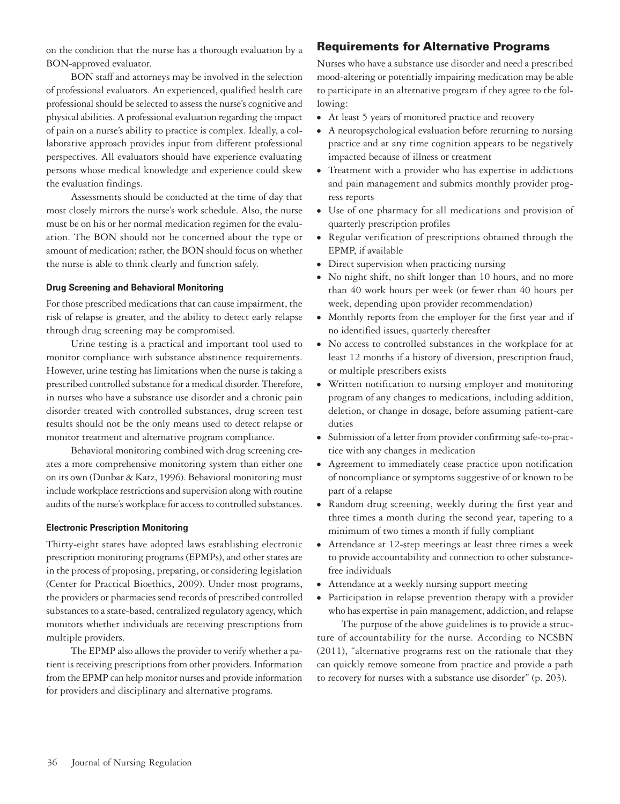on the condition that the nurse has a thorough evaluation by a BON-approved evaluator.

BON staff and attorneys may be involved in the selection of professional evaluators. An experienced, qualified health care professional should be selected to assess the nurse's cognitive and physical abilities. A professional evaluation regarding the impact of pain on a nurse's ability to practice is complex. Ideally, a collaborative approach provides input from different professional perspectives. All evaluators should have experience evaluating persons whose medical knowledge and experience could skew the evaluation findings.

Assessments should be conducted at the time of day that most closely mirrors the nurse's work schedule. Also, the nurse must be on his or her normal medication regimen for the evaluation. The BON should not be concerned about the type or amount of medication; rather, the BON should focus on whether the nurse is able to think clearly and function safely.

#### **Drug Screening and Behavioral Monitoring**

For those prescribed medications that can cause impairment, the risk of relapse is greater, and the ability to detect early relapse through drug screening may be compromised.

Urine testing is a practical and important tool used to monitor compliance with substance abstinence requirements. However, urine testing has limitations when the nurse is taking a prescribed controlled substance for a medical disorder. Therefore, in nurses who have a substance use disorder and a chronic pain disorder treated with controlled substances, drug screen test results should not be the only means used to detect relapse or monitor treatment and alternative program compliance.

Behavioral monitoring combined with drug screening creates a more comprehensive monitoring system than either one on its own (Dunbar & Katz, 1996). Behavioral monitoring must include workplace restrictions and supervision along with routine audits of the nurse's workplace for access to controlled substances.

## **Electronic Prescription Monitoring**

Thirty-eight states have adopted laws establishing electronic prescription monitoring programs (EPMPs), and other states are in the process of proposing, preparing, or considering legislation (Center for Practical Bioethics, 2009). Under most programs, the providers or pharmacies send records of prescribed controlled substances to a state-based, centralized regulatory agency, which monitors whether individuals are receiving prescriptions from multiple providers.

The EPMP also allows the provider to verify whether a patient is receiving prescriptions from other providers. Information from the EPMP can help monitor nurses and provide information for providers and disciplinary and alternative programs.

# Requirements for Alternative Programs

Nurses who have a substance use disorder and need a prescribed mood-altering or potentially impairing medication may be able to participate in an alternative program if they agree to the following:

- ⦁⦁ At least 5 years of monitored practice and recovery
- ⦁⦁ A neuropsychological evaluation before returning to nursing practice and at any time cognition appears to be negatively impacted because of illness or treatment
- ⦁⦁ Treatment with a provider who has expertise in addictions and pain management and submits monthly provider progress reports
- ⦁⦁ Use of one pharmacy for all medications and provision of quarterly prescription profiles
- ⦁⦁ Regular verification of prescriptions obtained through the EPMP, if available
- ⦁⦁ Direct supervision when practicing nursing
- ⦁⦁ No night shift, no shift longer than 10 hours, and no more than 40 work hours per week (or fewer than 40 hours per week, depending upon provider recommendation)
- ⦁⦁ Monthly reports from the employer for the first year and if no identified issues, quarterly thereafter
- ⦁⦁ No access to controlled substances in the workplace for at least 12 months if a history of diversion, prescription fraud, or multiple prescribers exists
- ⦁⦁ Written notification to nursing employer and monitoring program of any changes to medications, including addition, deletion, or change in dosage, before assuming patient-care duties
- ⦁⦁ Submission of a letter from provider confirming safe-to-practice with any changes in medication
- ⦁⦁ Agreement to immediately cease practice upon notification of noncompliance or symptoms suggestive of or known to be part of a relapse
- ⦁⦁ Random drug screening, weekly during the first year and three times a month during the second year, tapering to a minimum of two times a month if fully compliant
- ⦁⦁ Attendance at 12-step meetings at least three times a week to provide accountability and connection to other substancefree individuals
- ⦁⦁ Attendance at a weekly nursing support meeting
- ⦁⦁ Participation in relapse prevention therapy with a provider who has expertise in pain management, addiction, and relapse

The purpose of the above guidelines is to provide a structure of accountability for the nurse. According to NCSBN (2011), "alternative programs rest on the rationale that they can quickly remove someone from practice and provide a path to recovery for nurses with a substance use disorder" (p. 203).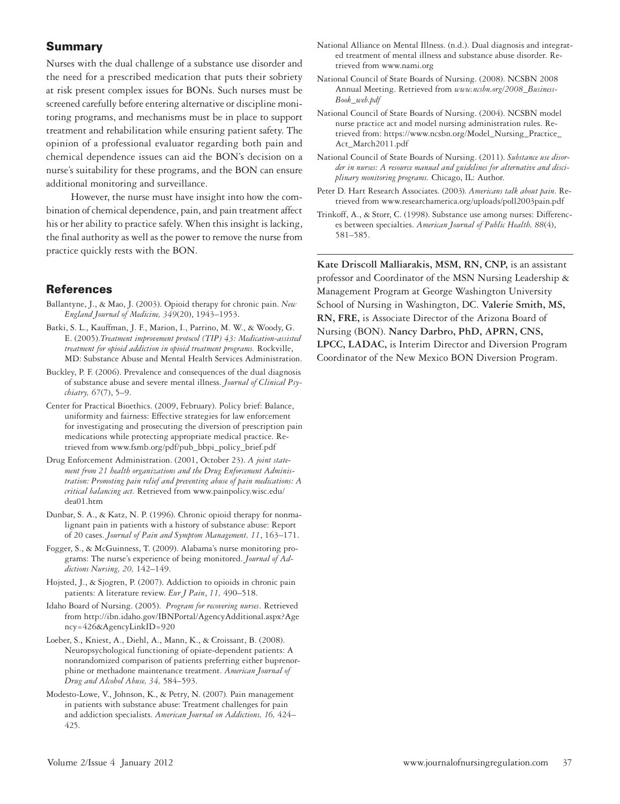## Summary

Nurses with the dual challenge of a substance use disorder and the need for a prescribed medication that puts their sobriety at risk present complex issues for BONs. Such nurses must be screened carefully before entering alternative or discipline monitoring programs, and mechanisms must be in place to support treatment and rehabilitation while ensuring patient safety. The opinion of a professional evaluator regarding both pain and chemical dependence issues can aid the BON's decision on a nurse's suitability for these programs, and the BON can ensure additional monitoring and surveillance.

However, the nurse must have insight into how the combination of chemical dependence, pain, and pain treatment affect his or her ability to practice safely. When this insight is lacking, the final authority as well as the power to remove the nurse from practice quickly rests with the BON.

## **References**

- Ballantyne, J., & Mao, J. (2003). Opioid therapy for chronic pain. *New England Journal of Medicine, 349*(20), 1943–1953.
- Batki, S. L., Kauffman, J. F., Marion, I., Parrino, M. W., & Woody, G. E. (2005).*Treatment improvement protocol (TIP) 43: Medication-assisted treatment for opioid addiction in opioid treatment programs.* Rockville, MD: Substance Abuse and Mental Health Services Administration.
- Buckley, P. F. (2006). Prevalence and consequences of the dual diagnosis of substance abuse and severe mental illness. *Journal of Clinical Psychiatry, 67*(7), 5–9.
- Center for Practical Bioethics. (2009, February). Policy brief: Balance, uniformity and fairness: Effective strategies for law enforcement for investigating and prosecuting the diversion of prescription pain medications while protecting appropriate medical practice. Retrieved from www.fsmb.org/pdf/pub\_bbpi\_policy\_brief.pdf
- Drug Enforcement Administration. (2001, October 23). *A joint statement from 21 health organizations and the Drug Enforcement Administration: Promoting pain relief and preventing abuse of pain medications: A critical balancing act.* Retrieved from www.painpolicy.wisc.edu/ dea01.htm
- Dunbar, S. A., & Katz, N. P. (1996). Chronic opioid therapy for nonmalignant pain in patients with a history of substance abuse: Report of 20 cases. *Journal of Pain and Symptom Management, 11*, 163–171.
- Fogger, S., & McGuinness, T. (2009). Alabama's nurse monitoring programs: The nurse's experience of being monitored. *Journal of Addictions Nursing, 20,* 142–149.
- Hojsted, J., & Sjogren, P. (2007). Addiction to opioids in chronic pain patients: A literature review. *Eur J Pain*, *11,* 490–518.
- Idaho Board of Nursing. (2005). *Program for recovering nurses*. Retrieved from http://ibn.idaho.gov/IBNPortal/AgencyAdditional.aspx?Age ncy=426&AgencyLinkID=920
- Loeber, S., Kniest, A., Diehl, A., Mann, K., & Croissant, B. (2008). Neuropsychological functioning of opiate-dependent patients: A nonrandomized comparison of patients preferring either buprenorphine or methadone maintenance treatment. *American Journal of Drug and Alcohol Abuse, 34,* 584–593.
- Modesto-Lowe, V., Johnson, K., & Petry, N. (2007). Pain management in patients with substance abuse: Treatment challenges for pain and addiction specialists. *American Journal on Addictions, 16,* 424– 425.
- National Alliance on Mental Illness. (n.d.). Dual diagnosis and integrated treatment of mental illness and substance abuse disorder. Retrieved from www.nami.org
- National Council of State Boards of Nursing. (2008). NCSBN 2008 Annual Meeting. Retrieved from *www.ncsbn.org/2008\_Business-Book\_web.pdf*
- National Council of State Boards of Nursing. (2004). NCSBN model nurse practice act and model nursing administration rules. Retrieved from: https://www.ncsbn.org/Model\_Nursing\_Practice\_ Act\_March2011.pdf
- National Council of State Boards of Nursing. (2011). *Substance use disorder in nurses: A resource manual and guidelines for alternative and disciplinary monitoring programs.* Chicago, IL: Author.
- Peter D. Hart Research Associates. (2003). *Americans talk about pain*. Retrieved from www.researchamerica.org/uploads/poll2003pain.pdf
- Trinkoff, A., & Storr, C. (1998). Substance use among nurses: Differences between specialties. *American Journal of Public Health, 88*(4), 581–585.

**Kate Driscoll Malliarakis, MSM, RN, CNP,** is an assistant professor and Coordinator of the MSN Nursing Leadership & Management Program at George Washington University School of Nursing in Washington, DC. **Valerie Smith, MS, RN, FRE,** is Associate Director of the Arizona Board of Nursing (BON). **Nancy Darbro, PhD, APRN, CNS, LPCC, LADAC,** is Interim Director and Diversion Program Coordinator of the New Mexico BON Diversion Program.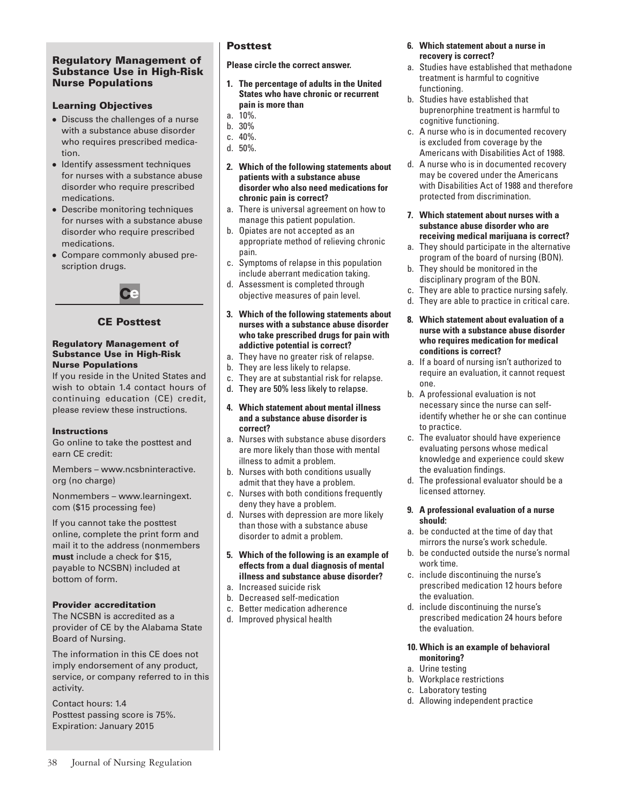## Regulatory Management of Substance Use in High-Risk Nurse Populations

## Learning Objectives

- ⦁ Discuss the challenges of a nurse with a substance abuse disorder who requires prescribed medication.
- ⦁ Identify assessment techniques for nurses with a substance abuse disorder who require prescribed medications.
- ⦁ Describe monitoring techniques for nurses with a substance abuse disorder who require prescribed medications.
- ⦁ Compare commonly abused prescription drugs.



# CE Posttest

#### Regulatory Management of Substance Use in High-Risk Nurse Populations

If you reside in the United States and wish to obtain 1.4 contact hours of continuing education (CE) credit, please review these instructions.

## **Instructions**

Go online to take the posttest and earn CE credit:

Members – www.ncsbninteractive. org (no charge)

Nonmembers – www.learningext. com (\$15 processing fee)

If you cannot take the posttest online, complete the print form and mail it to the address (nonmembers **must** include a check for \$15, payable to NCSBN) included at bottom of form.

## Provider accreditation

The NCSBN is accredited as a provider of CE by the Alabama State Board of Nursing.

The information in this CE does not imply endorsement of any product, service, or company referred to in this activity.

Contact hours: 1.4 Posttest passing score is 75%. Expiration: January 2015

# Posttest

**Please circle the correct answer.**

- **1. The percentage of adults in the United States who have chronic or recurrent pain is more than**
- a.  $10\%$
- $h$  30%
- c.  $40%$ .
- d. 50%.
- **2. Which of the following statements about patients with a substance abuse disorder who also need medications for chronic pain is correct?**
- a. There is universal agreement on how to manage this patient population.
- b. Opiates are not accepted as an appropriate method of relieving chronic pain.
- c. Symptoms of relapse in this population include aberrant medication taking.
- d. Assessment is completed through objective measures of pain level.
- **3. Which of the following statements about nurses with a substance abuse disorder who take prescribed drugs for pain with addictive potential is correct?**
- a. They have no greater risk of relapse.
- b. They are less likely to relapse.
- c. They are at substantial risk for relapse.
- d. They are 50% less likely to relapse.

#### **4. Which statement about mental illness and a substance abuse disorder is correct?**

- a. Nurses with substance abuse disorders are more likely than those with mental illness to admit a problem.
- b. Nurses with both conditions usually admit that they have a problem.
- c. Nurses with both conditions frequently deny they have a problem.
- d. Nurses with depression are more likely than those with a substance abuse disorder to admit a problem.
- **5. Which of the following is an example of effects from a dual diagnosis of mental illness and substance abuse disorder?**
- a. Increased suicide risk
- b. Decreased self-medication
- c. Better medication adherence
- d. Improved physical health
- **6. Which statement about a nurse in recovery is correct?**
- a. Studies have established that methadone treatment is harmful to cognitive functioning.
- b. Studies have established that buprenorphine treatment is harmful to cognitive functioning.
- c. A nurse who is in documented recovery is excluded from coverage by the Americans with Disabilities Act of 1988.
- d. A nurse who is in documented recovery may be covered under the Americans with Disabilities Act of 1988 and therefore protected from discrimination.

#### **7. Which statement about nurses with a substance abuse disorder who are receiving medical marijuana is correct?**

- a. They should participate in the alternative program of the board of nursing (BON).
- b. They should be monitored in the disciplinary program of the BON.
- c. They are able to practice nursing safely.
- d. They are able to practice in critical care.
- **8. Which statement about evaluation of a nurse with a substance abuse disorder who requires medication for medical conditions is correct?**
- a. If a board of nursing isn't authorized to require an evaluation, it cannot request one.
- b. A professional evaluation is not necessary since the nurse can selfidentify whether he or she can continue to practice.
- c. The evaluator should have experience evaluating persons whose medical knowledge and experience could skew the evaluation findings.
- d. The professional evaluator should be a licensed attorney.

#### **9. A professional evaluation of a nurse should:**

- a. be conducted at the time of day that mirrors the nurse's work schedule.
- b. be conducted outside the nurse's normal work time.
- c. include discontinuing the nurse's prescribed medication 12 hours before the evaluation.
- d. include discontinuing the nurse's prescribed medication 24 hours before the evaluation.

#### **10. Which is an example of behavioral monitoring?**

- a. Urine testing
- b. Workplace restrictions
- c. Laboratory testing
- d. Allowing independent practice